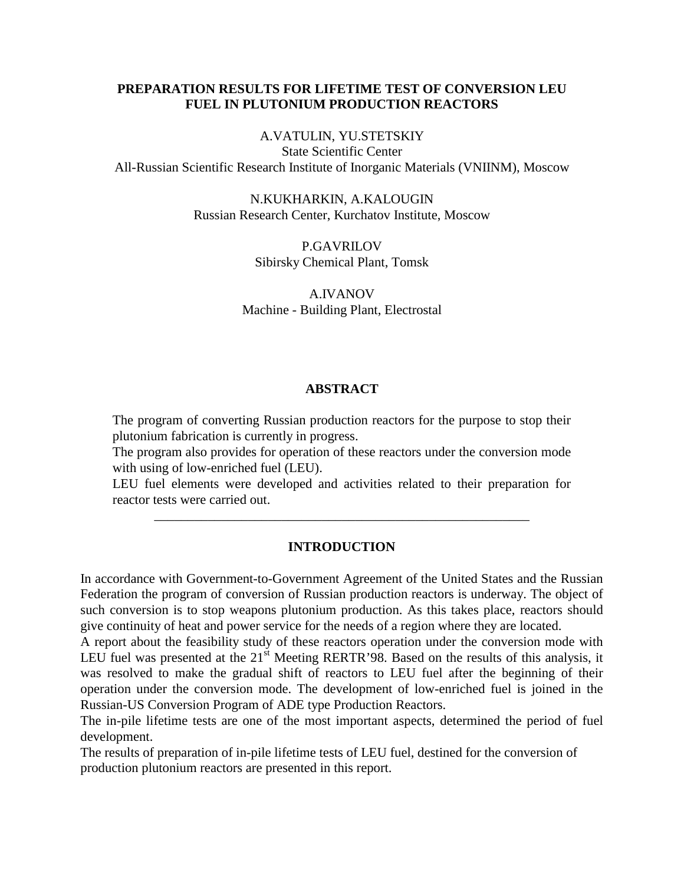# **PREPARATION RESULTS FOR LIFETIME TEST OF CONVERSION LEU FUEL IN PLUTONIUM PRODUCTION REACTORS**

#### A.VATULIN, YU.STETSKIY

State Scientific Center All-Russian Scientific Research Institute of Inorganic Materials (VNIINM), Moscow

> N.KUKHARKIN, A.KALOUGIN Russian Research Center, Kurchatov Institute, Moscow

> > P.GAVRILOV Sibirsky Chemical Plant, Tomsk

A.IVANOV Machine - Building Plant, Electrostal

#### **ABSTRACT**

The program of converting Russian production reactors for the purpose to stop their plutonium fabrication is currently in progress.

The program also provides for operation of these reactors under the conversion mode with using of low-enriched fuel (LEU).

LEU fuel elements were developed and activities related to their preparation for reactor tests were carried out.

\_\_\_\_\_\_\_\_\_\_\_\_\_\_\_\_\_\_\_\_\_\_\_\_\_\_\_\_\_\_\_\_\_\_\_\_\_\_\_\_\_\_\_\_\_\_\_\_\_\_\_\_\_\_\_\_

### **INTRODUCTION**

In accordance with Government-to-Government Agreement of the United States and the Russian Federation the program of conversion of Russian production reactors is underway. The object of such conversion is to stop weapons plutonium production. As this takes place, reactors should give continuity of heat and power service for the needs of a region where they are located.

A report about the feasibility study of these reactors operation under the conversion mode with LEU fuel was presented at the  $21<sup>st</sup>$  Meeting RERTR'98. Based on the results of this analysis, it was resolved to make the gradual shift of reactors to LEU fuel after the beginning of their operation under the conversion mode. The development of low-enriched fuel is joined in the Russian-US Conversion Program of ADE type Production Reactors.

The in-pile lifetime tests are one of the most important aspects, determined the period of fuel development.

The results of preparation of in-pile lifetime tests of LEU fuel, destined for the conversion of production plutonium reactors are presented in this report.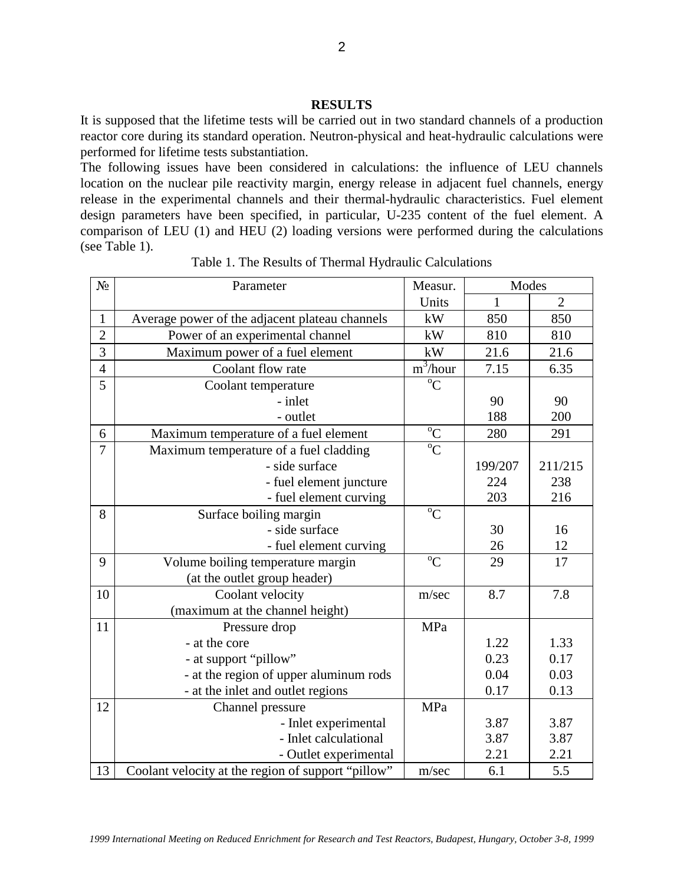### **RESULTS**

It is supposed that the lifetime tests will be carried out in two standard channels of a production reactor core during its standard operation. Neutron-physical and heat-hydraulic calculations were performed for lifetime tests substantiation.

The following issues have been considered in calculations: the influence of LEU channels location on the nuclear pile reactivity margin, energy release in adjacent fuel channels, energy release in the experimental channels and their thermal-hydraulic characteristics. Fuel element design parameters have been specified, in particular, U-235 content of the fuel element. A comparison of LEU (1) and HEU (2) loading versions were performed during the calculations (see Table 1).

| N <sub>2</sub> | Parameter                                            | Measur.             | Modes        |                |
|----------------|------------------------------------------------------|---------------------|--------------|----------------|
|                |                                                      | Units               | $\mathbf{1}$ | $\overline{2}$ |
| $\mathbf{1}$   | Average power of the adjacent plateau channels<br>kW |                     | 850          | 850            |
| $\overline{2}$ | Power of an experimental channel<br>kW               |                     | 810          | 810            |
| 3              | Maximum power of a fuel element                      | kW                  | 21.6         | 21.6           |
| $\overline{4}$ | Coolant flow rate                                    | $\frac{1}{2}$ hour  | 7.15         | 6.35           |
| 5              | Coolant temperature                                  | ${}^{\circ}C$       |              |                |
|                | - inlet                                              |                     | 90           | 90             |
|                | - outlet                                             |                     | 188          | 200            |
| 6              | Maximum temperature of a fuel element                | $^{\rm o}\!{\rm C}$ | 280          | 291            |
| $\overline{7}$ | Maximum temperature of a fuel cladding               | $\overline{C}$      |              |                |
|                | - side surface                                       |                     | 199/207      | 211/215        |
|                | - fuel element juncture                              |                     | 224          | 238            |
|                | - fuel element curving                               |                     | 203          | 216            |
| 8              | Surface boiling margin                               | ${}^{0}C$           |              |                |
|                | - side surface                                       |                     | 30           | 16             |
|                | - fuel element curving                               |                     | 26           | 12             |
| 9              | Volume boiling temperature margin                    | $\rm ^{o}C$         | 29           | 17             |
|                | (at the outlet group header)                         |                     |              |                |
| 10             | Coolant velocity                                     | m/sec               | 8.7          | 7.8            |
|                | (maximum at the channel height)                      |                     |              |                |
| 11             | Pressure drop                                        | MPa                 |              |                |
|                | - at the core                                        |                     | 1.22         | 1.33           |
|                | - at support "pillow"                                |                     | 0.23         | 0.17           |
|                | - at the region of upper aluminum rods               |                     | 0.04         | 0.03           |
|                | - at the inlet and outlet regions                    |                     | 0.17         | 0.13           |
| 12             | Channel pressure                                     | MPa                 |              |                |
|                | - Inlet experimental                                 |                     | 3.87         | 3.87           |
|                | - Inlet calculational                                |                     | 3.87         | 3.87           |
|                | - Outlet experimental                                |                     | 2.21         | 2.21           |
| 13             | Coolant velocity at the region of support "pillow"   | m/sec               | 6.1          | 5.5            |

Table 1. The Results of Thermal Hydraulic Calculations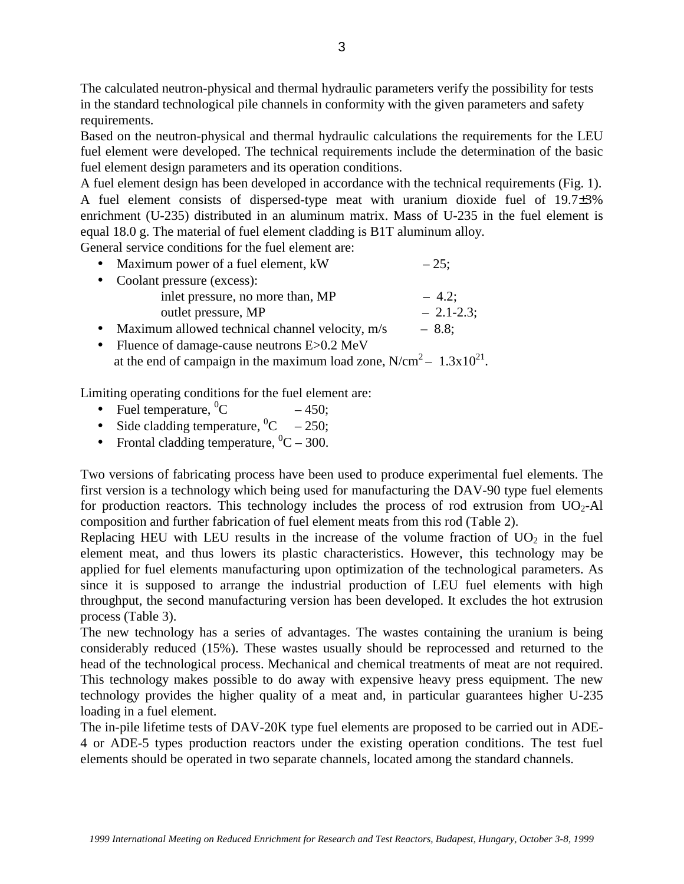The calculated neutron-physical and thermal hydraulic parameters verify the possibility for tests in the standard technological pile channels in conformity with the given parameters and safety requirements.

Based on the neutron-physical and thermal hydraulic calculations the requirements for the LEU fuel element were developed. The technical requirements include the determination of the basic fuel element design parameters and its operation conditions.

A fuel element design has been developed in accordance with the technical requirements (Fig. 1). A fuel element consists of dispersed-type meat with uranium dioxide fuel of 19.7±3% enrichment (U-235) distributed in an aluminum matrix. Mass of U-235 in the fuel element is equal 18.0 g. The material of fuel element cladding is B1T aluminum alloy.

General service conditions for the fuel element are:

|           | • Maximum power of a fuel element, kW           | $-25;$      |
|-----------|-------------------------------------------------|-------------|
|           | • Coolant pressure (excess):                    |             |
|           | inlet pressure, no more than, MP                | $-4.2$ ;    |
|           | outlet pressure, MP                             | $-2.1-2.3;$ |
| $\bullet$ | Maximum allowed technical channel velocity, m/s | $-8.8;$     |

• Fluence of damage-cause neutrons E>0.2 MeV at the end of campaign in the maximum load zone,  $N/cm^2 - 1.3x10^{21}$ .

Limiting operating conditions for the fuel element are:

- Fuel temperature,  ${}^{0}C$  $-450$ ;
- Side cladding temperature,  ${}^{0}C 250$ ;
- Frontal cladding temperature,  ${}^{0}C 300$ .

Two versions of fabricating process have been used to produce experimental fuel elements. The first version is a technology which being used for manufacturing the DAV-90 type fuel elements for production reactors. This technology includes the process of rod extrusion from  $UO<sub>2</sub>$ -Al composition and further fabrication of fuel element meats from this rod (Table 2).

Replacing HEU with LEU results in the increase of the volume fraction of  $UO<sub>2</sub>$  in the fuel element meat, and thus lowers its plastic characteristics. However, this technology may be applied for fuel elements manufacturing upon optimization of the technological parameters. As since it is supposed to arrange the industrial production of LEU fuel elements with high throughput, the second manufacturing version has been developed. It excludes the hot extrusion process (Table 3).

The new technology has a series of advantages. The wastes containing the uranium is being considerably reduced (15%). These wastes usually should be reprocessed and returned to the head of the technological process. Mechanical and chemical treatments of meat are not required. This technology makes possible to do away with expensive heavy press equipment. The new technology provides the higher quality of a meat and, in particular guarantees higher U-235 loading in a fuel element.

The in-pile lifetime tests of DAV-20K type fuel elements are proposed to be carried out in ADE-4 or ADE-5 types production reactors under the existing operation conditions. The test fuel elements should be operated in two separate channels, located among the standard channels.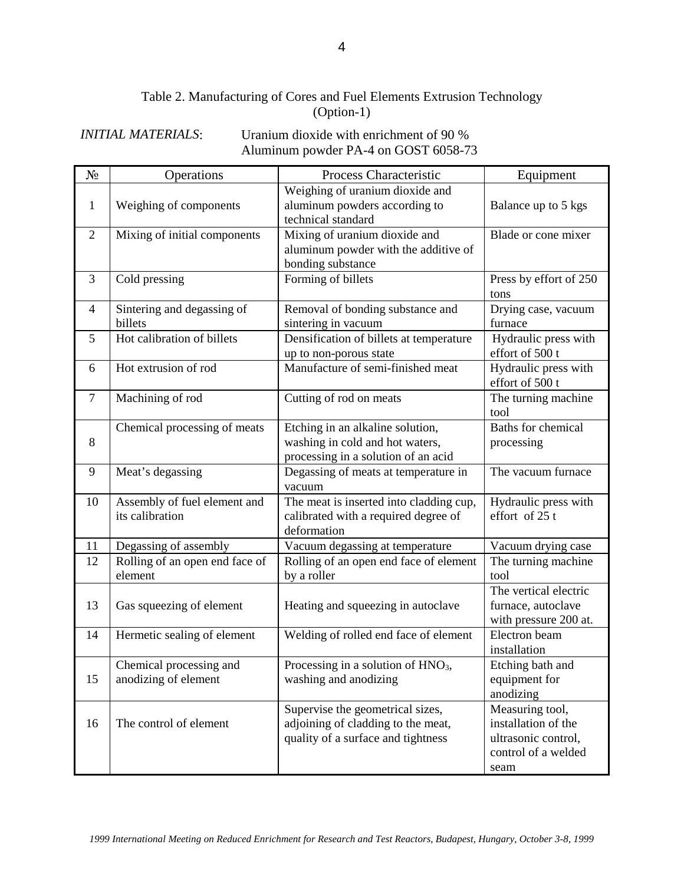# Table 2. Manufacturing of Cores and Fuel Elements Extrusion Technology (Option-1)

# *INITIAL MATERIALS*: Uranium dioxide with enrichment of 90 % Aluminum powder PA-4 on GOST 6058-73

| $N_2$          | Operations                                      | Process Characteristic                                                                                       | Equipment                                                                                    |
|----------------|-------------------------------------------------|--------------------------------------------------------------------------------------------------------------|----------------------------------------------------------------------------------------------|
| 1              | Weighing of components                          | Weighing of uranium dioxide and<br>aluminum powders according to<br>technical standard                       | Balance up to 5 kgs                                                                          |
| $\overline{2}$ | Mixing of initial components                    | Mixing of uranium dioxide and<br>aluminum powder with the additive of<br>bonding substance                   | Blade or cone mixer                                                                          |
| 3              | Cold pressing                                   | Forming of billets                                                                                           | Press by effort of 250<br>tons                                                               |
| 4              | Sintering and degassing of<br>billets           | Removal of bonding substance and<br>sintering in vacuum                                                      | Drying case, vacuum<br>furnace                                                               |
| 5              | Hot calibration of billets                      | Densification of billets at temperature<br>up to non-porous state                                            | Hydraulic press with<br>effort of 500 t                                                      |
| 6              | Hot extrusion of rod                            | Manufacture of semi-finished meat                                                                            | Hydraulic press with<br>effort of 500 t                                                      |
| $\overline{7}$ | Machining of rod                                | Cutting of rod on meats                                                                                      | The turning machine<br>tool                                                                  |
| 8              | Chemical processing of meats                    | Etching in an alkaline solution,<br>washing in cold and hot waters,<br>processing in a solution of an acid   | <b>Baths for chemical</b><br>processing                                                      |
| 9              | Meat's degassing                                | Degassing of meats at temperature in<br>vacuum                                                               | The vacuum furnace                                                                           |
| 10             | Assembly of fuel element and<br>its calibration | The meat is inserted into cladding cup,<br>calibrated with a required degree of<br>deformation               | Hydraulic press with<br>effort of 25 t                                                       |
| 11             | Degassing of assembly                           | Vacuum degassing at temperature                                                                              | Vacuum drying case                                                                           |
| 12             | Rolling of an open end face of<br>element       | Rolling of an open end face of element<br>by a roller                                                        | The turning machine<br>tool                                                                  |
| 13             | Gas squeezing of element                        | Heating and squeezing in autoclave                                                                           | The vertical electric<br>furnace, autoclave<br>with pressure 200 at.                         |
| 14             | Hermetic sealing of element                     | Welding of rolled end face of element                                                                        | Electron beam<br>installation                                                                |
| 15             | Chemical processing and<br>anodizing of element | Processing in a solution of $HNO3$ ,<br>washing and anodizing                                                | Etching bath and<br>equipment for<br>anodizing                                               |
| 16             | The control of element                          | Supervise the geometrical sizes,<br>adjoining of cladding to the meat,<br>quality of a surface and tightness | Measuring tool,<br>installation of the<br>ultrasonic control,<br>control of a welded<br>seam |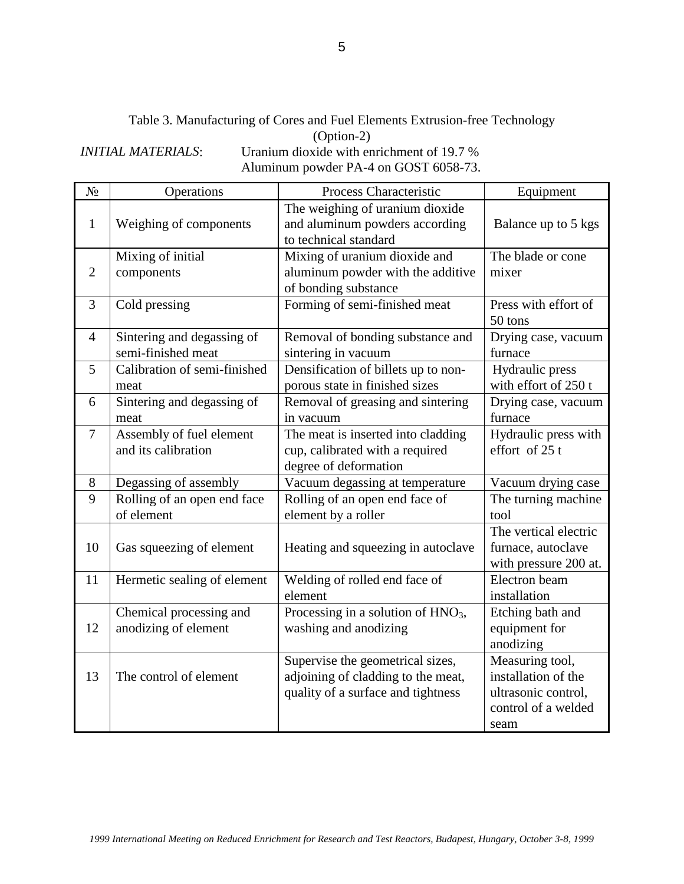Table 3. Manufacturing of Cores and Fuel Elements Extrusion-free Technology (Option-2)

*INITIAL MATERIALS*: Uranium dioxide with enrichment of 19.7 % Aluminum powder PA-4 on GOST 6058-73.

| $N_2$          | Operations                                       | Process Characteristic                                                                                       | Equipment                                                                                    |
|----------------|--------------------------------------------------|--------------------------------------------------------------------------------------------------------------|----------------------------------------------------------------------------------------------|
| $\mathbf{1}$   | Weighing of components                           | The weighing of uranium dioxide<br>and aluminum powders according<br>to technical standard                   | Balance up to 5 kgs                                                                          |
| $\overline{2}$ | Mixing of initial<br>components                  | Mixing of uranium dioxide and<br>aluminum powder with the additive<br>of bonding substance                   | The blade or cone<br>mixer                                                                   |
| 3              | Cold pressing                                    | Forming of semi-finished meat                                                                                | Press with effort of<br>50 tons                                                              |
| $\overline{4}$ | Sintering and degassing of<br>semi-finished meat | Removal of bonding substance and<br>sintering in vacuum                                                      | Drying case, vacuum<br>furnace                                                               |
| 5              | Calibration of semi-finished<br>meat             | Densification of billets up to non-<br>porous state in finished sizes                                        | Hydraulic press<br>with effort of 250 t                                                      |
| 6              | Sintering and degassing of<br>meat               | Removal of greasing and sintering<br>in vacuum                                                               | Drying case, vacuum<br>furnace                                                               |
| 7              | Assembly of fuel element<br>and its calibration  | The meat is inserted into cladding<br>cup, calibrated with a required<br>degree of deformation               | Hydraulic press with<br>effort of $25t$                                                      |
| 8              | Degassing of assembly                            | Vacuum degassing at temperature                                                                              | Vacuum drying case                                                                           |
| 9              | Rolling of an open end face<br>of element        | Rolling of an open end face of<br>element by a roller                                                        | The turning machine<br>tool                                                                  |
| 10             | Gas squeezing of element                         | Heating and squeezing in autoclave                                                                           | The vertical electric<br>furnace, autoclave<br>with pressure 200 at.                         |
| 11             | Hermetic sealing of element                      | Welding of rolled end face of<br>element                                                                     | Electron beam<br>installation                                                                |
| 12             | Chemical processing and<br>anodizing of element  | Processing in a solution of HNO <sub>3</sub> ,<br>washing and anodizing                                      | Etching bath and<br>equipment for<br>anodizing                                               |
| 13             | The control of element                           | Supervise the geometrical sizes,<br>adjoining of cladding to the meat,<br>quality of a surface and tightness | Measuring tool,<br>installation of the<br>ultrasonic control,<br>control of a welded<br>seam |